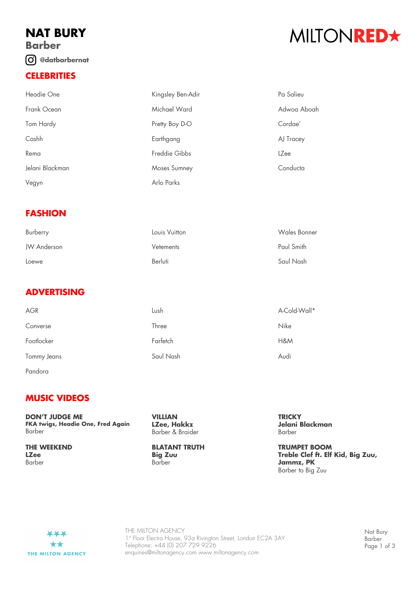## **NAT BURY Barber @datbarbernat**

## **CELEBRITIES**

# MILTONRED★

| Headie One      | Kingsley Ben-Adir | Pa Salieu   |
|-----------------|-------------------|-------------|
| Frank Ocean     | Michael Ward      | Adwoa Aboah |
| Tom Hardy       | Pretty Boy D-O    | Cordae'     |
| Cashh           | Earthgang         | AJ Tracey   |
| Rema            | Freddie Gibbs     | LZee        |
| Jelani Blackman | Moses Sumney      | Conducta    |
| Vegyn           | Arlo Parks        |             |

### **FASHION**

| Burberry    | Louis Vuitton | Wales Bonner |
|-------------|---------------|--------------|
| JW Anderson | Vetements     | Paul Smith   |
| Loewe       | Berluti       | Saul Nash    |

## **ADVERTISING**

| AGR         | Lush      | A-Cold-Wall* |
|-------------|-----------|--------------|
| Converse    | Three     | <b>Nike</b>  |
| Footlocker  | Farfetch  | H&M          |
| Tommy Jeans | Saul Nash | Audi         |
|             |           |              |

Pandora

### **MUSIC VIDEOS**

**DON'T JUDGE ME FKA twigs, Headie One, Fred Again** Barber

**THE WEEKEND LZee** Barber

**VILLIAN LZee, Hakkz** Barber & Braider

#### **BLATANT TRUTH Big Zuu** Barber

**TRICKY Jelani Blackman** Barber

**TRUMPET BOOM Treble Clef ft. Elf Kid, Big Zuu, Jammz, PK** Barber to Big Zuu



THE MILTON AGENCY 1st Floor Electra House, 93a Rivington Street, London EC2A 3AY Telephone: +44 (0) 207 729 9226 enquiries@miltonagency.com www.miltonagency.com

Nat Bury Barber Page 1 of 3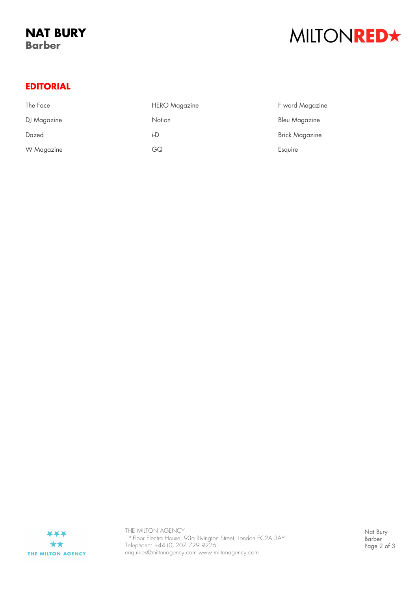# MILTONRED\*

### **EDITORIAL**

| The Face    | <b>HERO</b> Magazine | F word Magazine       |
|-------------|----------------------|-----------------------|
| DJ Magazine | Notion               | Bleu Magazine         |
| Dazed       | i-D                  | <b>Brick Magazine</b> |
| W Magazine  | GQ                   | Esquire               |



THE MILTON AGENCY 1st Floor Electra House, 93a Rivington Street, London EC2A 3AY Telephone: +44 (0) 207 729 9226 enquiries@miltonagency.com www.miltonagency.com

Nat Bury Barber Page 2 of 3